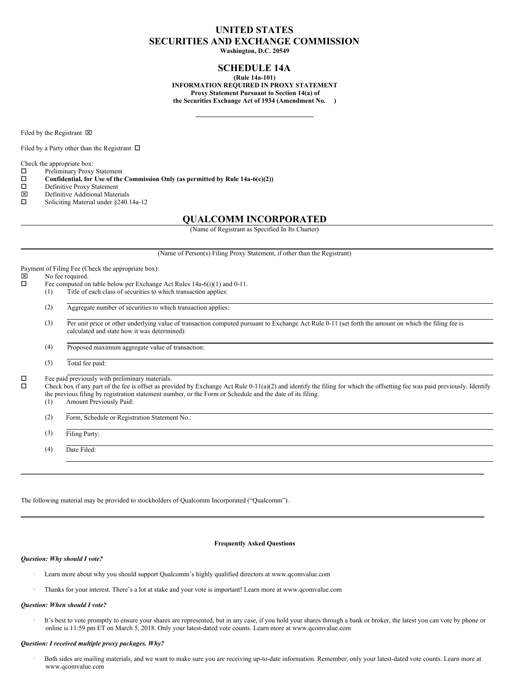# **UNITED STATES SECURITIES AND EXCHANGE COMMISSION**

**Washington, D.C. 20549**

# **SCHEDULE 14A**

**(Rule 14a-101) INFORMATION REQUIRED IN PROXY STATEMENT Proxy Statement Pursuant to Section 14(a) of the Securities Exchange Act of 1934 (Amendment No. )**

Filed by the Registrant  $\boxtimes$ 

Filed by a Party other than the Registrant  $\Box$ 

Check the appropriate box:

 $\square$  Preliminary Proxy Statement<br> $\square$  Confidential, for Use of the

**Confidential, for** Use of the Commission Only (as permitted by Rule  $14a-6(e)(2)$ )<br>  $\Box$  Definitive Proxy Statement

- □ Definitive Proxy Statement<br> **図** Definitive Additional Mater
- $\boxtimes$  Definitive Additional Materials<br> $\square$  Soliciting Material under \$240.
- Soliciting Material under §240.14a-12

## **QUALCOMM INCORPORATED**

(Name of Registrant as Specified In Its Charter)

(Name of Person(s) Filing Proxy Statement, if other than the Registrant)

Payment of Filing Fee (Check the appropriate box):  $\boxtimes$  No fee required.<br> $\Box$  Fee computed on Fee computed on table below per Exchange Act Rules 14a-6(i)(1) and 0-11. (1) Title of each class of securities to which transaction applies: (2) Aggregate number of securities to which transaction applies: (3) Per unit price or other underlying value of transaction computed pursuant to Exchange Act Rule 0-11 (set forth the amount on which the filing fee is calculated and state how it was determined): (4) Proposed maximum aggregate value of transaction: (5) Total fee paid:  $\Box$  Fee paid previously with preliminary materials.<br> $\Box$  Check box if any part of the fee is offeet as provided. o Check box if any part of the fee is offset as provided by Exchange Act Rule 0-11(a)(2) and identify the filing for which the offsetting fee was paid previously. Identify the previous filing by registration statement number, or the Form or Schedule and the date of its filing. (1) Amount Previously Paid: (2) Form, Schedule or Registration Statement No.: (3) Filing Party: (4) Date Filed:

The following material may be provided to stockholders of Qualcomm Incorporated ("Qualcomm").

## **Frequently Asked Questions**

#### *Question: Why should I vote?*

- Learn more about why you should support Qualcomm's highly qualified directors at www.qcomvalue.com
- · Thanks for your interest. There's a lot at stake and your vote is important! Learn more at www.qcomvalue.com

#### *Question: When should I vote?*

It's best to vote promptly to ensure your shares are represented, but in any case, if you hold your shares through a bank or broker, the latest you can vote by phone or online is 11:59 pm ET on March 5, 2018. Only your latest-dated vote counts. Learn more at www.qcomvalue.com

#### *Question: I received multiple proxy packages. Why?*

Both sides are mailing materials, and we want to make sure you are receiving up-to-date information. Remember, only your latest-dated vote counts. Learn more at www.qcomvalue.com